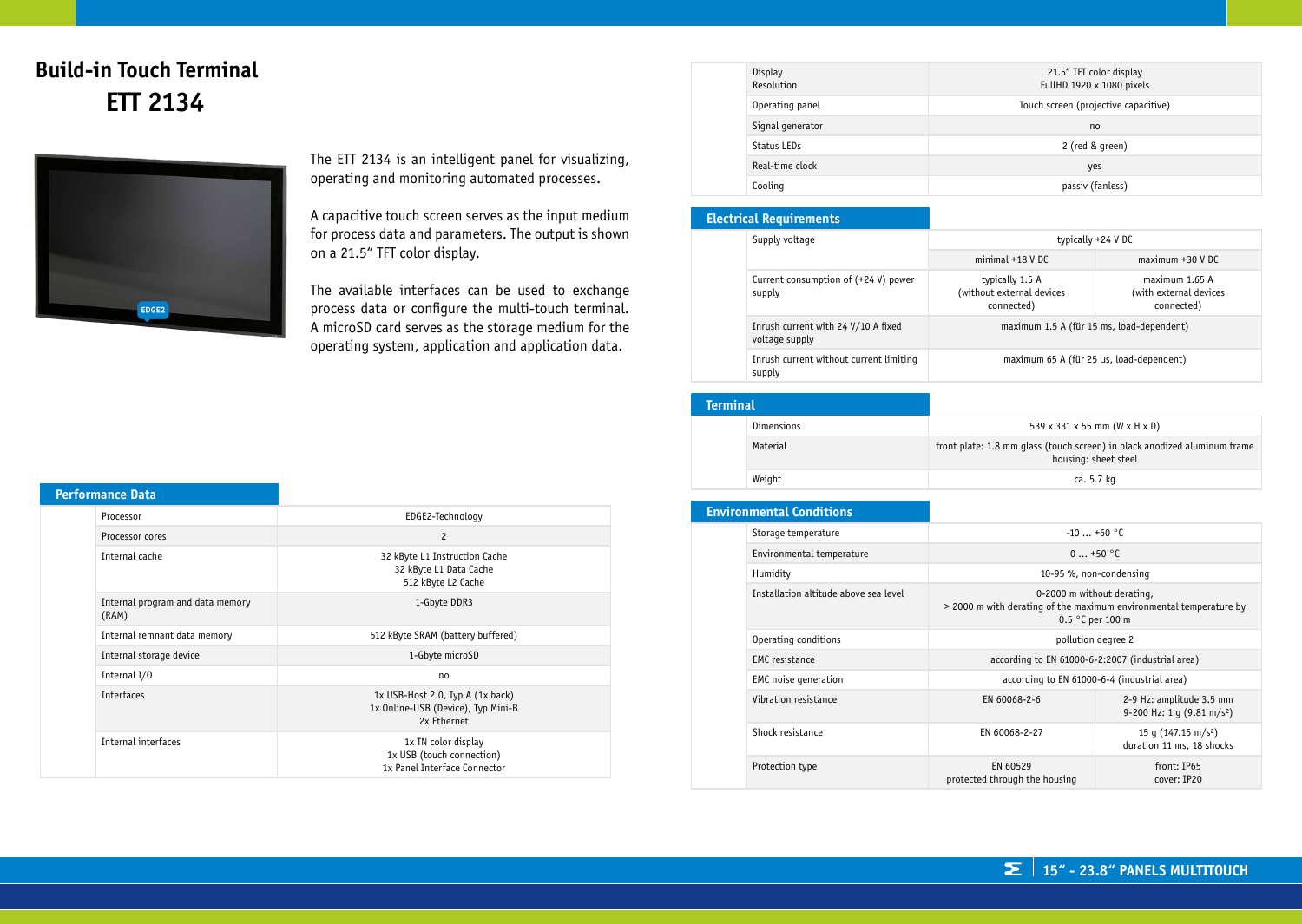# **Build-in Touch Terminal ETT 2134**



The ETT 2134 is an intelligent panel for visualizing, operating and monitoring automated processes.

A capacitive touch screen serves as the input medium for process data and parameters. The output is shown on a 21.5" TFT color display.

The available interfaces can be used to exchange process data or configure the multi-touch terminal. A microSD card serves as the storage medium for the operating system, application and application data.

| Display<br>Resolution | 21.5" TFT color display<br>FullHD 1920 x 1080 pixels |
|-----------------------|------------------------------------------------------|
| Operating panel       | Touch screen (projective capacitive)                 |
| Signal generator      | no                                                   |
| Status LEDs           | 2 (red & green)                                      |
| Real-time clock       | yes                                                  |
| Cooling               | passiv (fanless)                                     |

### **Electrical Requirements**

| Supply voltage                                        | typically +24 V DC                                         |                                                        |
|-------------------------------------------------------|------------------------------------------------------------|--------------------------------------------------------|
|                                                       | $minimal +18 V DC$                                         | $maximum +30 VDC$                                      |
| Current consumption of (+24 V) power<br>supply        | typically 1.5 A<br>(without external devices<br>connected) | maximum 1.65 A<br>(with external devices<br>connected) |
| Inrush current with 24 V/10 A fixed<br>voltage supply |                                                            | maximum 1.5 A (für 15 ms, load-dependent)              |
| Inrush current without current limiting<br>supply     |                                                            | maximum 65 A (für 25 µs, load-dependent)               |

## **Terminal**

| Dimensions | $539 \times 331 \times 55$ mm (W x H x D)                                                         |
|------------|---------------------------------------------------------------------------------------------------|
| Material   | front plate: 1.8 mm qlass (touch screen) in black anodized aluminum frame<br>housing: sheet steel |
| Weight     | ca. 5.7 kg                                                                                        |

| <b>Environmental Conditions</b>       |                                                  |                                                                    |
|---------------------------------------|--------------------------------------------------|--------------------------------------------------------------------|
| Storage temperature                   | $-10+60$ °C                                      |                                                                    |
| Environmental temperature             | $0+50$ °C                                        |                                                                    |
| Humidity                              |                                                  | 10-95 %, non-condensing                                            |
| Installation altitude above sea level | 0-2000 m without derating,<br>0.5 °C per 100 m   | > 2000 m with derating of the maximum environmental temperature by |
| Operating conditions                  | pollution degree 2                               |                                                                    |
| <b>EMC</b> resistance                 | according to EN 61000-6-2:2007 (industrial area) |                                                                    |
| EMC noise generation                  |                                                  | according to EN 61000-6-4 (industrial area)                        |
| Vibration resistance                  | EN 60068-2-6                                     | 2-9 Hz: amplitude 3.5 mm<br>9-200 Hz: 1 q (9.81 m/s <sup>2</sup> ) |
| Shock resistance                      | EN 60068-2-27                                    | 15 q $(147.15 \text{ m/s}^2)$<br>duration 11 ms, 18 shocks         |
| Protection type                       | EN 60529<br>protected through the housing        | front: IP65<br>cover: IP20                                         |

## **Performance Data**

| Processor                                 | EDGE2-Technology                                                                          |
|-------------------------------------------|-------------------------------------------------------------------------------------------|
| Processor cores                           | $\overline{c}$                                                                            |
| Internal cache                            | 32 kByte L1 Instruction Cache<br>32 kByte L1 Data Cache<br>512 kByte L2 Cache             |
| Internal program and data memory<br>(RAM) | 1-Gbyte DDR3                                                                              |
| Internal remnant data memory              | 512 kByte SRAM (battery buffered)                                                         |
| Internal storage device                   | 1-Gbyte microSD                                                                           |
| Internal I/0                              | no                                                                                        |
| <b>Interfaces</b>                         | $1x$ USB-Host 2.0, Typ A $(1x$ back)<br>1x Online-USB (Device), Typ Mini-B<br>2x Ethernet |
| Internal interfaces                       | 1x TN color display<br>1x USB (touch connection)<br>1x Panel Interface Connector          |